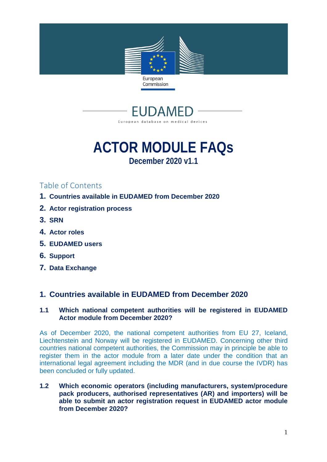



# **ACTOR MODULE FAQs December 2020 v1.1**

# Table of Contents

- **1. Countries available in EUDAMED from December 2020**
- **2. Actor registration process**
- **3. SRN**
- **4. Actor roles**
- **5. EUDAMED users**
- **6. Support**
- **7. Data Exchange**

# **1. Countries available in EUDAMED from December 2020**

# **1.1 Which national competent authorities will be registered in EUDAMED Actor module from December 2020?**

As of December 2020, the national competent authorities from EU 27, Iceland, Liechtenstein and Norway will be registered in EUDAMED. Concerning other third countries national competent authorities, the Commission may in principle be able to register them in the actor module from a later date under the condition that an international legal agreement including the MDR (and in due course the IVDR) has been concluded or fully updated.

**1.2 Which economic operators (including manufacturers, system/procedure pack producers, authorised representatives (AR) and importers) will be able to submit an actor registration request in EUDAMED actor module from December 2020?**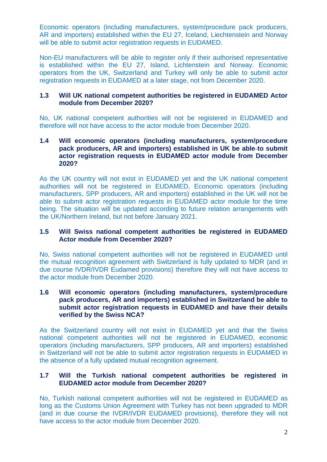Economic operators (including manufacturers, system/procedure pack producers, AR and importers) established within the EU 27, Iceland, Liechtenstein and Norway will be able to submit actor registration requests in EUDAMED.

Non-EU manufacturers will be able to register only if their authorised representative is established within the EU 27, Island, Lichtenstein and Norway. Economic operators from the UK, Switzerland and Turkey will only be able to submit actor registration requests in EUDAMED at a later stage, not from December 2020.

#### **1.3 Will UK national competent authorities be registered in EUDAMED Actor module from December 2020?**

No, UK national competent authorities will not be registered in EUDAMED and therefore will not have access to the actor module from December 2020.

#### **1.4 Will economic operators (including manufacturers, system/procedure pack producers, AR and importers) established in UK be able to submit actor registration requests in EUDAMED actor module from December 2020?**

As the UK country will not exist in EUDAMED yet and the UK national competent authorities will not be registered in EUDAMED, Economic operators (including manufacturers, SPP producers, AR and importers) established in the UK will not be able to submit actor registration requests in EUDAMED actor module for the time being. The situation will be updated according to future relation arrangements with the UK/Northern Ireland, but not before January 2021.

# **1.5 Will Swiss national competent authorities be registered in EUDAMED Actor module from December 2020?**

No, Swiss national competent authorities will not be registered in EUDAMED until the mutual recognition agreement with Switzerland is fully updated to MDR (and in due course IVDR/IVDR Eudamed provisions) therefore they will not have access to the actor module from December 2020.

#### **1.6 Will economic operators (including manufacturers, system/procedure pack producers, AR and importers) established in Switzerland be able to submit actor registration requests in EUDAMED and have their details verified by the Swiss NCA?**

As the Switzerland country will not exist in EUDAMED yet and that the Swiss national competent authorities will not be registered in EUDAMED, economic operators (including manufacturers, SPP producers, AR and importers) established in Switzerland will not be able to submit actor registration requests in EUDAMED in the absence of a fully updated mutual recognition agreement.

# **1.7 Will the Turkish national competent authorities be registered in EUDAMED actor module from December 2020?**

No, Turkish national competent authorities will not be registered in EUDAMED as long as the Customs Union Agreement with Turkey has not been upgraded to MDR (and in due course the IVDR/IVDR EUDAMED provisions), therefore they will not have access to the actor module from December 2020.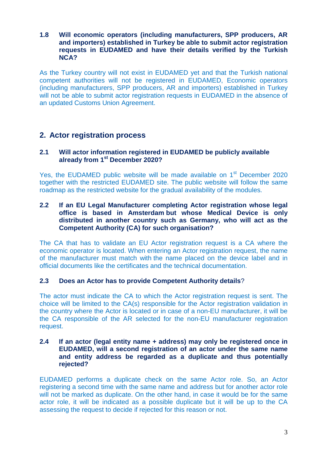## **1.8 Will economic operators (including manufacturers, SPP producers, AR and importers) established in Turkey be able to submit actor registration requests in EUDAMED and have their details verified by the Turkish NCA?**

As the Turkey country will not exist in EUDAMED yet and that the Turkish national competent authorities will not be registered in EUDAMED, Economic operators (including manufacturers, SPP producers, AR and importers) established in Turkey will not be able to submit actor registration requests in EUDAMED in the absence of an updated Customs Union Agreement.

# **2. Actor registration process**

# **2.1 Will actor information registered in EUDAMED be publicly available already from 1st December 2020?**

Yes, the EUDAMED public website will be made available on 1<sup>st</sup> December 2020 together with the restricted EUDAMED site. The public website will follow the same roadmap as the restricted website for the gradual availability of the modules.

# **2.2 If an EU Legal Manufacturer completing Actor registration whose legal office is based in Amsterdam but whose Medical Device is only distributed in another country such as Germany, who will act as the Competent Authority (CA) for such organisation?**

The CA that has to validate an EU Actor registration request is a CA where the economic operator is located. When entering an Actor registration request, the name of the manufacturer must match with the name placed on the device label and in official documents like the certificates and the technical documentation.

# **2.3 Does an Actor has to provide Competent Authority details**?

The actor must indicate the CA to which the Actor registration request is sent. The choice will be limited to the CA(s) responsible for the Actor registration validation in the country where the Actor is located or in case of a non-EU manufacturer, it will be the CA responsible of the AR selected for the non-EU manufacturer registration request.

#### **2.4 If an actor (legal entity name + address) may only be registered once in EUDAMED, will a second registration of an actor under the same name and entity address be regarded as a duplicate and thus potentially rejected?**

EUDAMED performs a duplicate check on the same Actor role. So, an Actor registering a second time with the same name and address but for another actor role will not be marked as duplicate. On the other hand, in case it would be for the same actor role, it will be indicated as a possible duplicate but it will be up to the CA assessing the request to decide if rejected for this reason or not.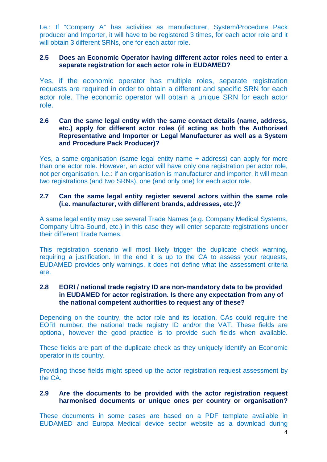I.e.: If "Company A" has activities as manufacturer, System/Procedure Pack producer and Importer, it will have to be registered 3 times, for each actor role and it will obtain 3 different SRNs, one for each actor role.

# **2.5 Does an Economic Operator having different actor roles need to enter a separate registration for each actor role in EUDAMED?**

Yes, if the economic operator has multiple roles, separate registration requests are required in order to obtain a different and specific SRN for each actor role. The economic operator will obtain a unique SRN for each actor role.

#### **2.6 Can the same legal entity with the same contact details (name, address, etc.) apply for different actor roles (if acting as both the Authorised Representative and Importer or Legal Manufacturer as well as a System and Procedure Pack Producer)?**

Yes, a same organisation (same legal entity name + address) can apply for more than one actor role. However, an actor will have only one registration per actor role, not per organisation. I.e.: if an organisation is manufacturer and importer, it will mean two registrations (and two SRNs), one (and only one) for each actor role.

# **2.7 Can the same legal entity register several actors within the same role (i.e. manufacturer, with different brands, addresses, etc.)?**

A same legal entity may use several Trade Names (e.g. Company Medical Systems, Company Ultra-Sound, etc.) in this case they will enter separate registrations under their different Trade Names.

This registration scenario will most likely trigger the duplicate check warning, requiring a justification. In the end it is up to the CA to assess your requests, EUDAMED provides only warnings, it does not define what the assessment criteria are.

# **2.8 EORI / national trade registry ID are non-mandatory data to be provided in EUDAMED for actor registration. Is there any expectation from any of the national competent authorities to request any of these?**

Depending on the country, the actor role and its location, CAs could require the EORI number, the national trade registry ID and/or the VAT. These fields are optional, however the good practice is to provide such fields when available.

These fields are part of the duplicate check as they uniquely identify an Economic operator in its country.

Providing those fields might speed up the actor registration request assessment by the CA.

# **2.9 Are the documents to be provided with the [actor registration reque](https://ec.europa.eu/health/md_eudamed/actors_registration_en)st harmonised documents or unique ones per country or organisation?**

These documents in some cases are based on a PDF template available in EUDAMED and Europa Medical device sector website as a download during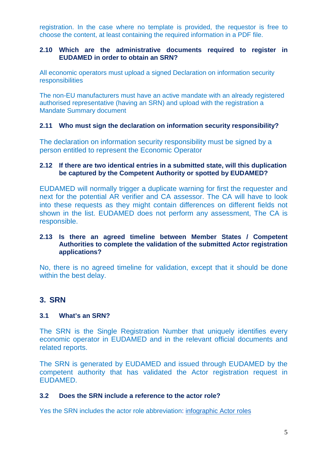registration. In the case where no template is provided, the requestor is free to choose the content, at least containing the required information in a PDF file.

# **2.10 Which are the administrative d[ocuments required to register](http://ec.europa.eu/health/sites/health/files/md_eudamed/docs/md_declaration_actor_registration_en.pdf) in  [EUDAME](http://ec.europa.eu/health/sites/health/files/md_eudamed/docs/md_declaration_actor_registration_en.pdf)D in order to obtain an SRN?**

All economic operators must upload a signed Declaration on information security responsibilities

[The non-EU manufacturers mu](http://ec.europa.eu/health/sites/health/files/md_eudamed/docs/md_mandate_summary_en.pdf)st have an active mandate with an already registered authorised representative (having an SRN) and upload with the registration a Mandate Summary document

# **2.11 Who must sign the declaration on information security responsibility?**

The declaration on information security responsibility must be signed by a person entitled to represent the Economic Operator

# **2.12 If there are two identical entries in a submitted state, will this duplication be captured by the Competent Authority or spotted by EUDAMED?**

EUDAMED will normally trigger a duplicate warning for first the requester and next for the potential AR verifier and CA assessor. The CA will have to look into these requests as they might contain differences on different fields not shown in the list. EUDAMED does not perform any assessment, The CA is responsible.

# **2.13 Is there an agreed timeline between Member States / Competent Authorities to complete the validation of the submitted Actor registration applications?**

No, there is no agreed timeline for validation, except that it should be done within the best delay.

# **3. SRN**

# **3.1 What's an SRN?**

The SRN is the Single Registration Number that uniquely identifies every economic operator in EUDAMED and in the relevant official documents and related reports.

The SRN is generated by EUDAMED and issued through EUDAMED by the competent authority that has validated the Actor registration request in EUDAMED.

# **3.2 Does the SRN include a reference to th[e actor role?](https://ec.europa.eu/health/sites/health/files/md_eudamed/docs/md_actor_roles_srn_en.pdf)**

Yes the SRN includes the actor role abbreviation: infographic Actor roles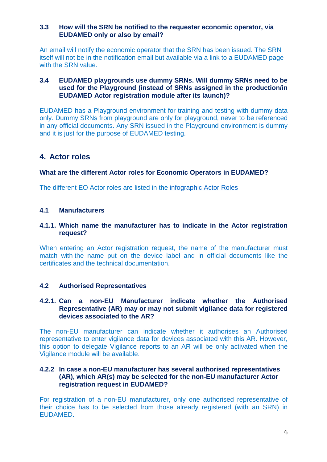## **3.3 How will the SRN be notified to the requester economic operator, via EUDAMED only or also by email?**

An email will notify the economic operator that the SRN has been issued. The SRN itself will not be in the notification email but available via a link to a EUDAMED page with the SRN value.

# **3.4 EUDAMED playgrounds use dummy SRNs. Will dummy SRNs need to be used for the Playground (instead of SRNs assigned in the production/in EUDAMED Actor registration module after its launch)?**

EUDAMED has a Playground environment for training and testing with dummy data only. Dummy SRNs from playground are only for playground, never to be referenced in any official documents. Any SRN issued in the Playground environment is dummy and it is just for the purpose of EUDAMED testing.

# **4. Actor roles**

# **What are the different Actor roles for Economic Operators in EUDAMED?**

The different EO Actor roles are listed in the infographic Actor Roles

# **4.1 Manufacturers**

## **4.1.1. Which name the manufacturer has to indicate in the Actor registration request?**

When entering an Actor registration request, the name of the manufacturer must match with the name put on the device label and in official documents like the certificates and the technical documentation.

# **4.2 Authorised Representatives**

#### **4.2.1. Can a non-EU Manufacturer indicate whether the Authorised Representative (AR) may or may not submit vigilance data for registered devices associated to the AR?**

The non-EU manufacturer can indicate whether it authorises an Authorised representative to enter vigilance data for devices associated with this AR. However, this option to delegate Vigilance reports to an AR will be only activated when the Vigilance module will be available.

#### **4.2.2 In case a non-EU manufacturer has several authorised representatives (AR), which AR(s) may be selected for the non-EU manufacturer Actor registration request in EUDAMED?**

For registration of a non-EU manufacturer, only one authorised representative of their choice has to be selected from those already registered (with an SRN) in EUDAMED.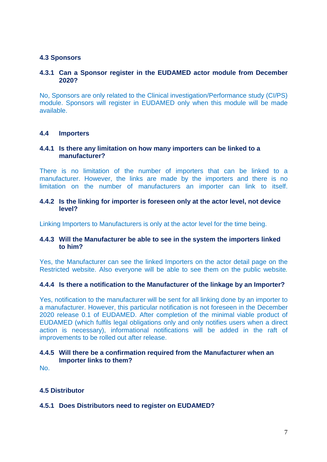# **4.3 Sponsors**

## **4.3.1 Can a Sponsor register in the EUDAMED actor module from December 2020?**

No, Sponsors are only related to the Clinical investigation/Performance study (CI/PS) module. Sponsors will register in EUDAMED only when this module will be made available.

#### **4.4 Importers**

## **4.4.1 Is there any limitation on how many importers can be linked to a manufacturer?**

There is no limitation of the number of importers that can be linked to a manufacturer. However, the links are made by the importers and there is no limitation on the number of manufacturers an importer can link to itself.

#### **4.4.2 Is the linking for importer is foreseen only at the actor level, not device level?**

Linking Importers to Manufacturers is only at the actor level for the time being.

#### **4.4.3 Will the Manufacturer be able to see in the system the importers linked to him?**

Yes, the Manufacturer can see the linked Importers on the actor detail page on the Restricted website. Also everyone will be able to see them on the public website*.* 

# **4.4.4 Is there a notification to the Manufacturer of the linkage by an Importer?**

Yes, notification to the manufacturer will be sent for all linking done by an importer to a manufacturer. However, this particular notification is not foreseen in the December 2020 release 0.1 of EUDAMED. After completion of the minimal viable product of EUDAMED (which fulfils legal obligations only and only notifies users when a direct action is necessary), informational notifications will be added in the raft of improvements to be rolled out after release.

# **4.4.5 Will there be a confirmation required from the Manufacturer when an Importer links to them?**

No.

# **4.5 Distributor**

# **4.5.1 Does Distributors need to register on EUDAMED?**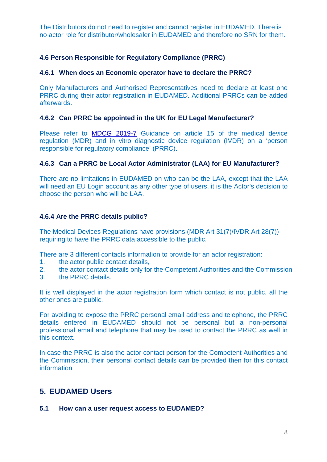The Distributors do not need to register and cannot register in EUDAMED. There is no actor role for distributor/wholesaler in EUDAMED and therefore no SRN for them.

# **4.6 Person Responsible for Regulatory Compliance (PRRC)**

## **4.6.1 When does an Economic operator have to declare the PRRC?**

Only Manufactur[ers and Authoris](https://ec.europa.eu/health/sites/health/files/md_sector/docs/md_mdcg_2019_7_guidance_art15_mdr_ivdr_en.pdf)ed Representatives need to declare at least one PRRC during their actor registration in EUDAMED. Additional PRRCs can be added afterwards.

#### **4.6.2 Can PRRC be appointed in the UK for EU Legal Manufacturer?**

Please refer to MDCG 2019-7 Guidance on article 15 of the medical device regulation (MDR) and in vitro diagnostic device regulation (IVDR) on a 'person responsible for regulatory compliance' (PRRC).

# **4.6.3 Can a PRRC be Local Actor Administrator (LAA) for EU Manufacturer?**

There are no limitations in EUDAMED on who can be the LAA, except that the LAA will need an EU Login account as any other type of users, it is the Actor's decision to choose the person who will be LAA.

# **4.6.4 Are the PRRC details public?**

The Medical Devices Regulations have provisions (MDR Art 31(7)/IVDR Art 28(7)) requiring to have the PRRC data accessible to the public.

There are 3 different contacts information to provide for an actor registration:

- 1. the actor public contact details,
- 2. the actor contact details only for the Competent Authorities and the Commission
- 3. the PRRC details.

It is well displayed in the actor registration form which contact is not public, all the other ones are public.

For avoiding to expose the PRRC personal email address and telephone, the PRRC details entered in EUDAMED should not be personal but a non-personal professional email and telephone that may be used to contact the PRRC as well in this context.

In case the PRRC is also the actor contact person for the Competent Authorities and the Commission, their personal contact details can be provided then for this contact information

# **5. EUDAMED Users**

#### **5.1 How can a user request access to EUDAMED?**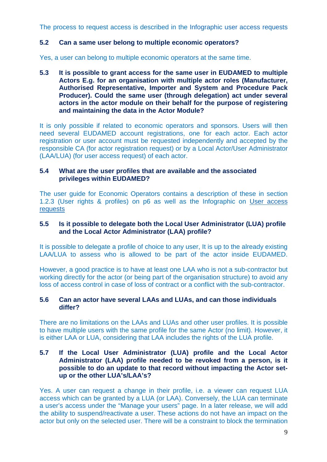The process to request access is described in the Infographic user access requests

# **5.2 Can a same user belong to multiple economic operators?**

Yes, a user can belong to multiple economic operators at the same time.

**5.3 It is possible to grant access for the same user in EUDAMED to multiple Actors E.g. for an organisation with multiple actor roles (Manufacturer, Authorised Representative, Importer and System and Procedure Pack Producer). Could the same user (through delegation) act under several actors in the actor module on their behalf for the purpose of registering and maintaining the data in the Actor Module?** 

It is only possible if related to economic operators and sponsors. Users will then need several EUDAMED account registrations, one for each actor. Each actor registration or user account must be requested independently and accepted by the responsible CA (for actor registration request) or by a Local Actor/User [Administrator](https://ec.europa.eu/health/sites/health/files/md_eudamed/docs/md_user_access_requests_en.pdf)  [\(LAA/LUA](https://ec.europa.eu/health/sites/health/files/md_eudamed/docs/md_user_access_requests_en.pdf)) (for user access request) of each actor.

# **5.4 What are the user profiles that are available and the associated privileges within EUDAMED?**

The user guide for Economic Operators contains a description of these in section 1.2.3 (User rights & profiles) on p6 as well as the Infographic on User access requests

# **5.5 Is it possible to delegate both the Local User Administrator (LUA) profile and the Local Actor Administrator (LAA) profile?**

It is possible to delegate a profile of choice to any user, It is up to the already existing LAA/LUA to assess who is allowed to be part of the actor inside EUDAMED.

However, a good practice is to have at least one LAA who is not a sub-contractor but working directly for the actor (or being part of the organisation structure) to avoid any loss of access control in case of loss of contract or a conflict with the sub-contractor.

# **5.6 Can an actor have several LAAs and LUAs, and can those individuals differ?**

There are no limitations on the LAAs and LUAs and other user profiles. It is possible to have multiple users with the same profile for the same Actor (no limit). However, it is either LAA or LUA, considering that LAA includes the rights of the LUA profile.

## **5.7 If the Local User Administrator (LUA) profile and the Local Actor Administrator (LAA) profile needed to be revoked from a person, is it possible to do an update to that record without impacting the Actor set up or the other LUA's/LAA's?**

Yes. A user can request a change in their profile, i.e. a viewer can request LUA access which can be granted by a LUA (or LAA). Conversely, the LUA can terminate a user's access under the "Manage your users" page. In a later release, we will add the ability to suspend/reactivate a user. These actions do not have an impact on the actor but only on the selected user. There will be a constraint to block the termination